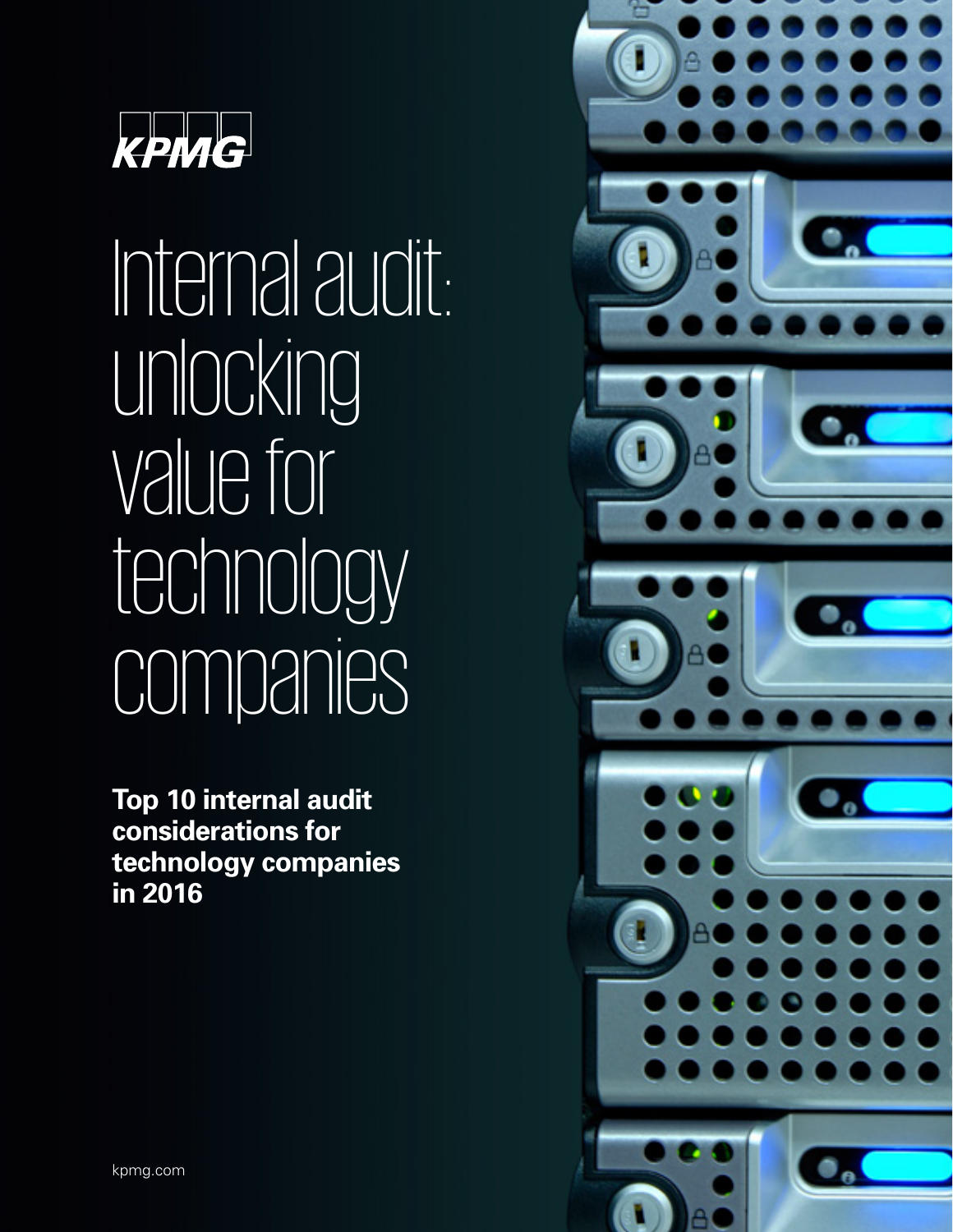

# Internal audit: unlocking value for technology companies<sup>1</sup>

**Top 10 internal audit considerations for technology companies in 2016**

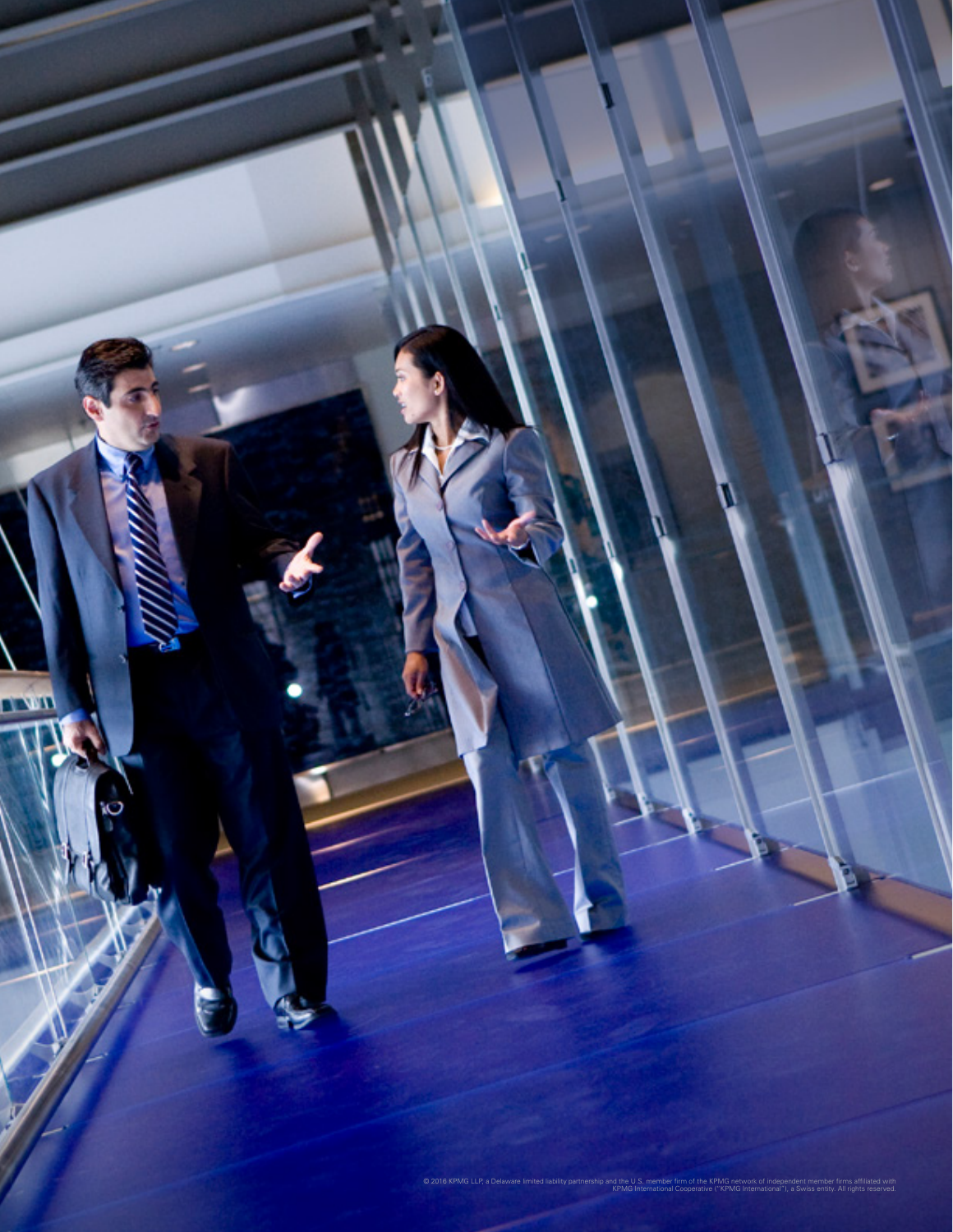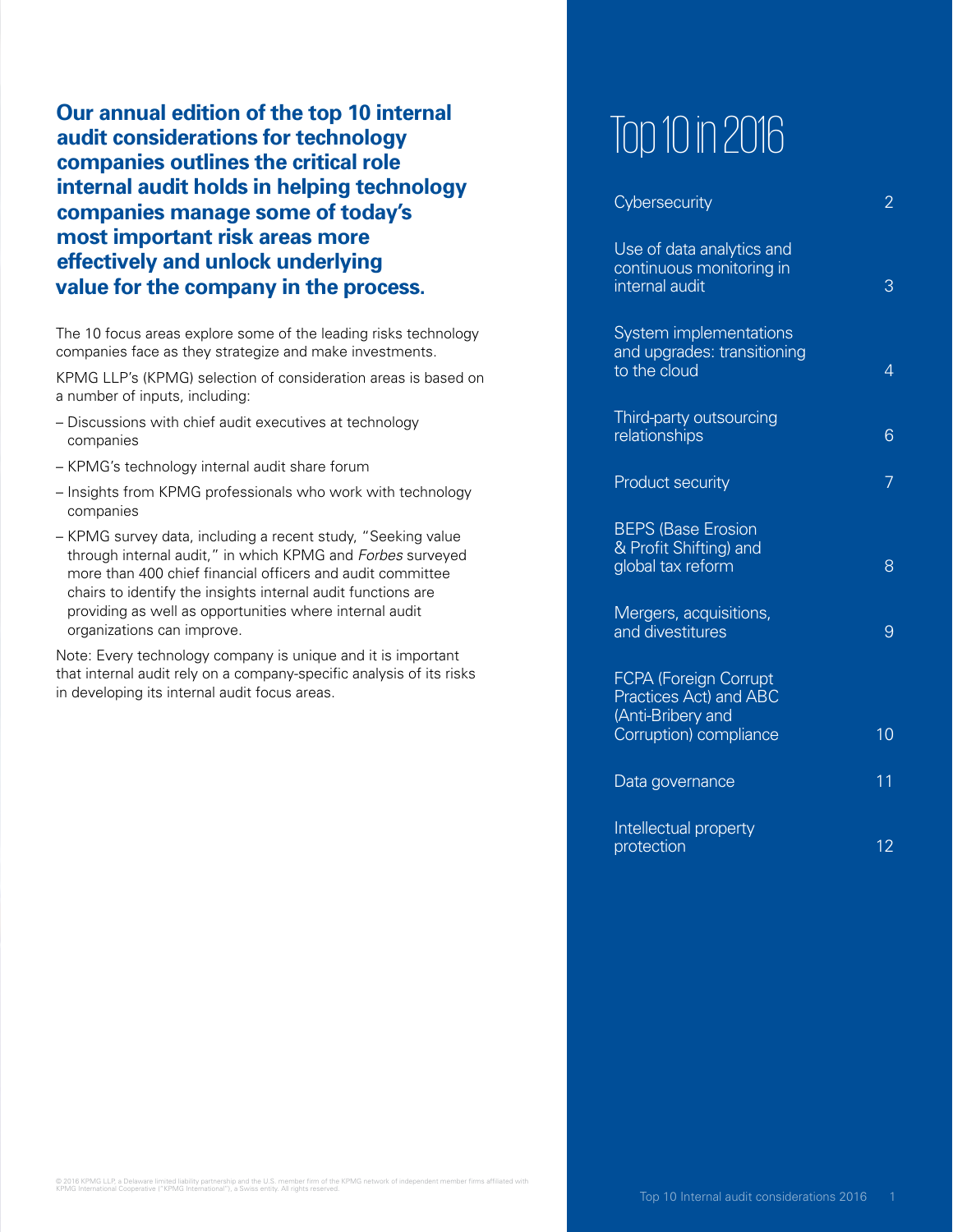**Our annual edition of the top 10 internal audit considerations for technology companies outlines the critical role internal audit holds in helping technology companies manage some of today's most important risk areas more effectively and unlock underlying value for the company in the process.**

The 10 focus areas explore some of the leading risks technology companies face as they strategize and make investments.

KPMG LLP's (KPMG) selection of consideration areas is based on a number of inputs, including:

- Discussions with chief audit executives at technology companies
- KPMG's technology internal audit share forum
- Insights from KPMG professionals who work with technology companies
- KPMG survey data, including a recent study, "Seeking value through internal audit," in which KPMG and *Forbes* surveyed more than 400 chief financial officers and audit committee chairs to identify the insights internal audit functions are providing as well as opportunities where internal audit organizations can improve.

Note: Every technology company is unique and it is important that internal audit rely on a company-specific analysis of its risks in developing its internal audit focus areas.

## Top 10 in 2016

| Cybersecurity                                                                                  | $\overline{2}$ |
|------------------------------------------------------------------------------------------------|----------------|
| Use of data analytics and<br>continuous monitoring in<br>internal audit                        | 3              |
| System implementations<br>and upgrades: transitioning<br>to the cloud                          | $\overline{4}$ |
| Third-party outsourcing<br>relationships                                                       | 6              |
| <b>Product security</b>                                                                        | 7              |
| <b>BEPS (Base Erosion</b><br>& Profit Shifting) and<br>global tax reform                       | 8              |
| Mergers, acquisitions,<br>and divestitures                                                     | 9              |
| FCPA (Foreign Corrupt<br>Practices Act) and ABC<br>(Anti-Bribery and<br>Corruption) compliance | 10             |
|                                                                                                |                |
| Data governance                                                                                | 11             |
| Intellectual property<br>protection                                                            | 12             |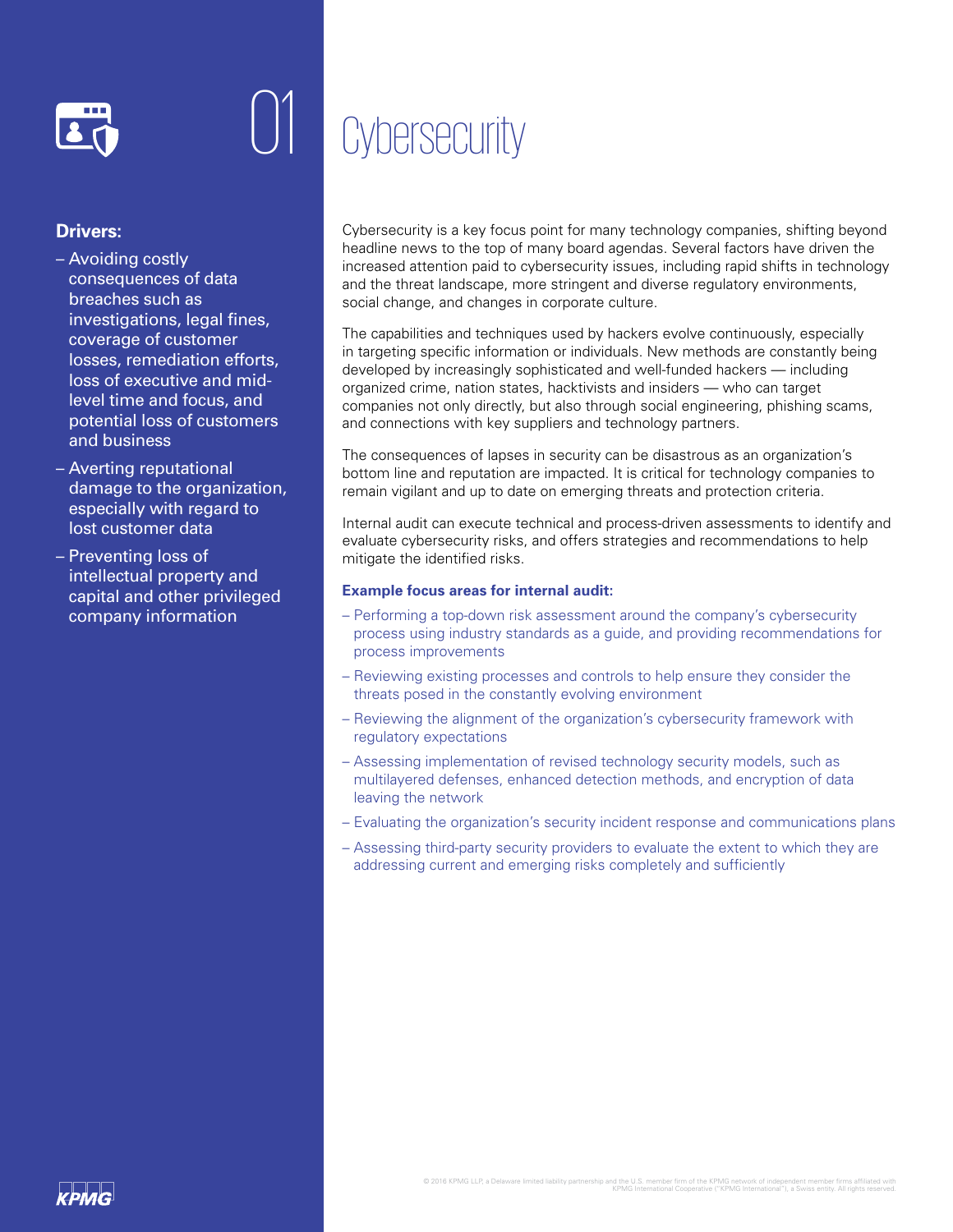

– Avoiding costly consequences of data breaches such as investigations, legal fines, coverage of customer losses, remediation efforts, loss of executive and midlevel time and focus, and potential loss of customers and business

01

- Averting reputational damage to the organization, especially with regard to lost customer data
- Preventing loss of intellectual property and capital and other privileged company information

## **Cybersecurity**

Cybersecurity is a key focus point for many technology companies, shifting beyond headline news to the top of many board agendas. Several factors have driven the increased attention paid to cybersecurity issues, including rapid shifts in technology and the threat landscape, more stringent and diverse regulatory environments, social change, and changes in corporate culture.

The capabilities and techniques used by hackers evolve continuously, especially in targeting specific information or individuals. New methods are constantly being developed by increasingly sophisticated and well-funded hackers — including organized crime, nation states, hacktivists and insiders — who can target companies not only directly, but also through social engineering, phishing scams, and connections with key suppliers and technology partners.

The consequences of lapses in security can be disastrous as an organization's bottom line and reputation are impacted. It is critical for technology companies to remain vigilant and up to date on emerging threats and protection criteria.

Internal audit can execute technical and process-driven assessments to identify and evaluate cybersecurity risks, and offers strategies and recommendations to help mitigate the identified risks.

- Performing a top-down risk assessment around the company's cybersecurity process using industry standards as a guide, and providing recommendations for process improvements
- Reviewing existing processes and controls to help ensure they consider the threats posed in the constantly evolving environment
- Reviewing the alignment of the organization's cybersecurity framework with regulatory expectations
- Assessing implementation of revised technology security models, such as multilayered defenses, enhanced detection methods, and encryption of data leaving the network
- Evaluating the organization's security incident response and communications plans
- Assessing third-party security providers to evaluate the extent to which they are addressing current and emerging risks completely and sufficiently

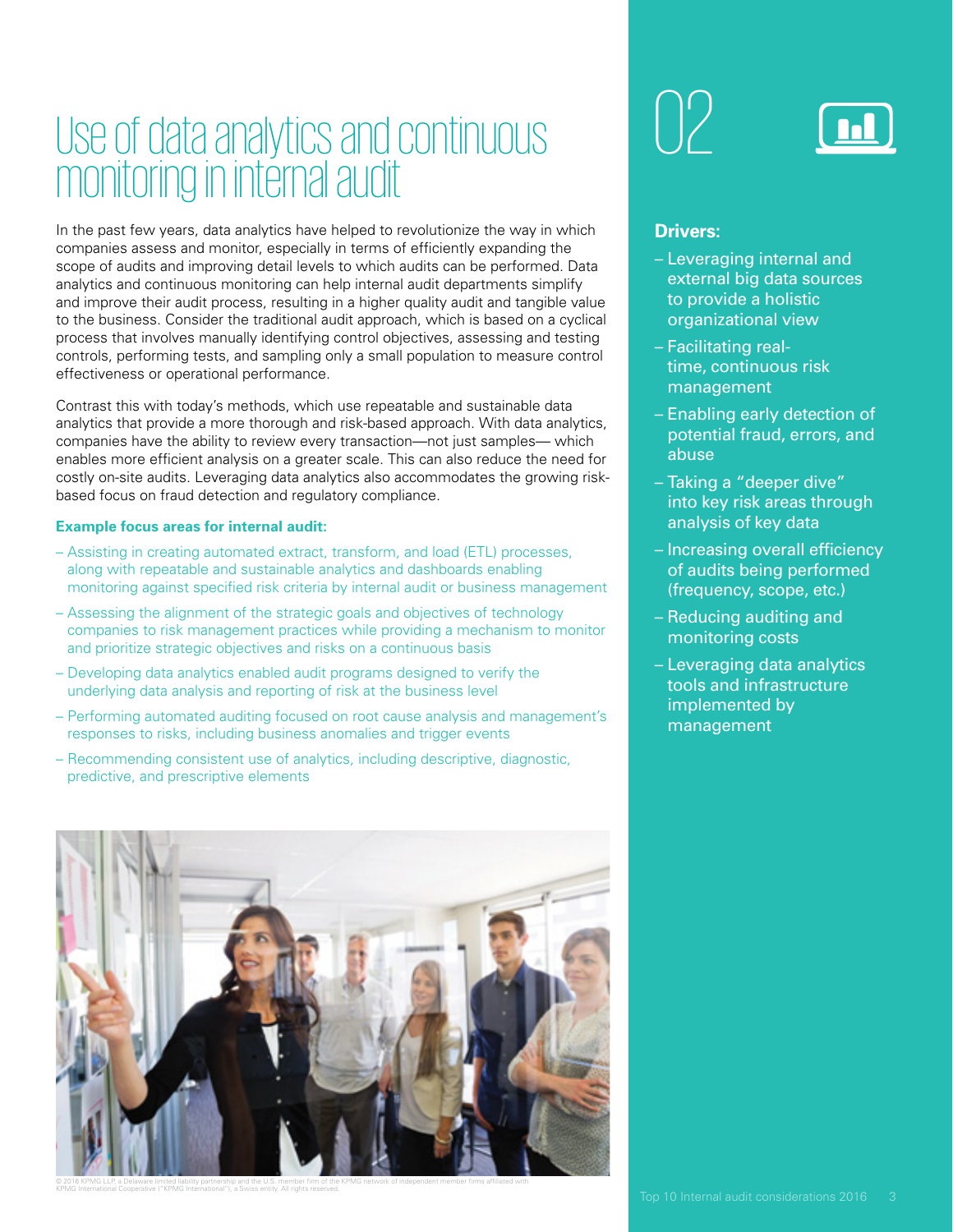### Use of data analytics and continuous monitoring in internal audit

In the past few years, data analytics have helped to revolutionize the way in which companies assess and monitor, especially in terms of efficiently expanding the scope of audits and improving detail levels to which audits can be performed. Data analytics and continuous monitoring can help internal audit departments simplify and improve their audit process, resulting in a higher quality audit and tangible value to the business. Consider the traditional audit approach, which is based on a cyclical process that involves manually identifying control objectives, assessing and testing controls, performing tests, and sampling only a small population to measure control effectiveness or operational performance.

Contrast this with today's methods, which use repeatable and sustainable data analytics that provide a more thorough and risk-based approach. With data analytics, companies have the ability to review every transaction—not just samples— which enables more efficient analysis on a greater scale. This can also reduce the need for costly on-site audits. Leveraging data analytics also accommodates the growing riskbased focus on fraud detection and regulatory compliance.

### **Example focus areas for internal audit:**

- Assisting in creating automated extract, transform, and load (ETL) processes, along with repeatable and sustainable analytics and dashboards enabling monitoring against specified risk criteria by internal audit or business management
- Assessing the alignment of the strategic goals and objectives of technology companies to risk management practices while providing a mechanism to monitor and prioritize strategic objectives and risks on a continuous basis
- Developing data analytics enabled audit programs designed to verify the underlying data analysis and reporting of risk at the business level
- Performing automated auditing focused on root cause analysis and management's responses to risks, including business anomalies and trigger events
- Recommending consistent use of analytics, including descriptive, diagnostic, predictive, and prescriptive elements



© 2016 KPMG LLP, a Delaware limited liability partnership and the U.S. member firm of the KPMG network of independent member firms affiliated with KPMG International Cooperative ("KPMG International"), a Swiss entity. All rights reserved.

## 02



- Leveraging internal and external big data sources to provide a holistic organizational view
- Facilitating realtime, continuous risk management
- Enabling early detection of potential fraud, errors, and abuse
- Taking a "deeper dive" into key risk areas through analysis of key data
- Increasing overall efficiency of audits being performed (frequency, scope, etc.)
- Reducing auditing and monitoring costs
- Leveraging data analytics tools and infrastructure implemented by management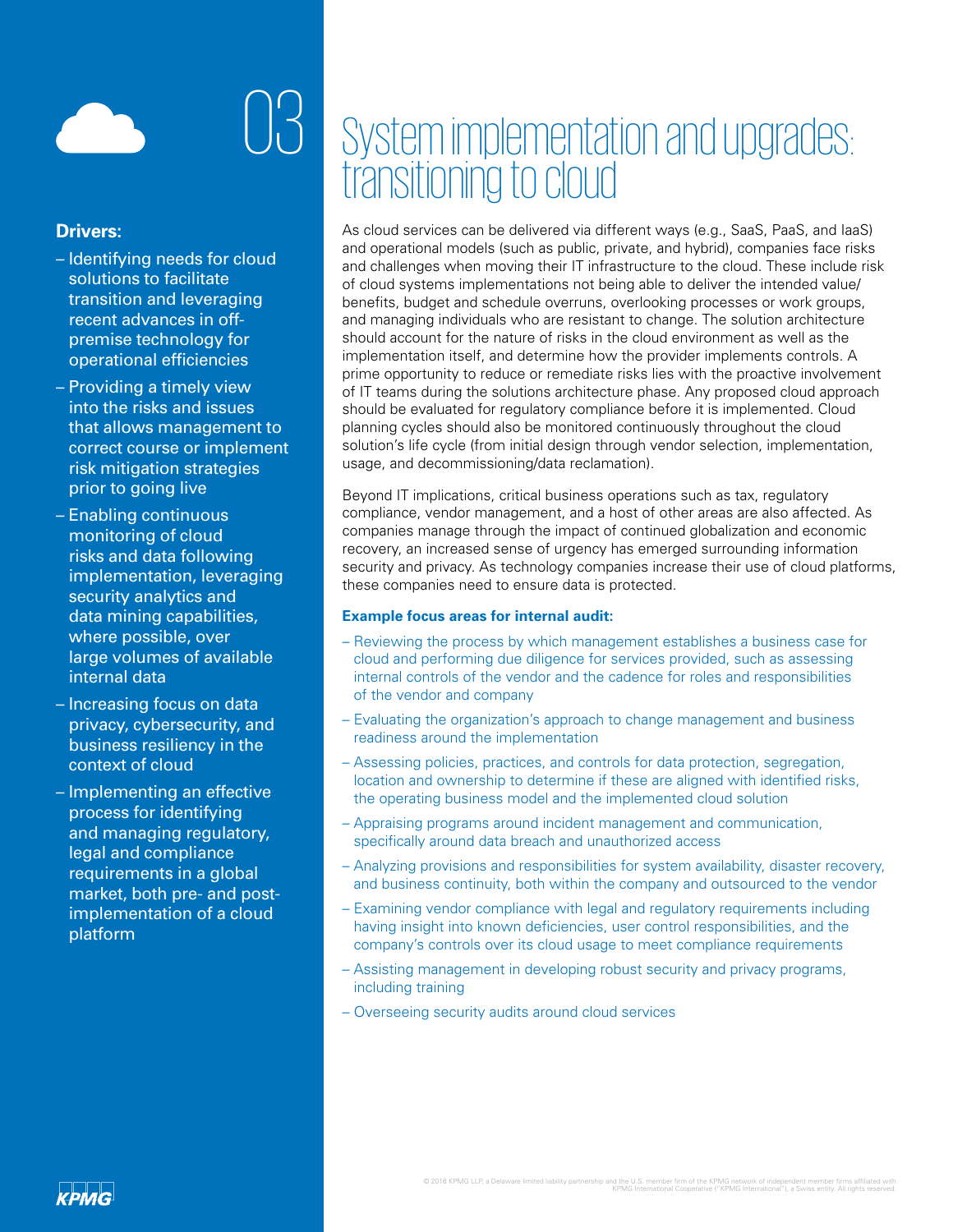### $\left| \cdot \right|$

### **Drivers:**

- Identifying needs for cloud solutions to facilitate transition and leveraging recent advances in offpremise technology for operational efficiencies
- Providing a timely view into the risks and issues that allows management to correct course or implement risk mitigation strategies prior to going live
- Enabling continuous monitoring of cloud risks and data following implementation, leveraging security analytics and data mining capabilities, where possible, over large volumes of available internal data
- Increasing focus on data privacy, cybersecurity, and business resiliency in the context of cloud
- Implementing an effective process for identifying and managing regulatory, legal and compliance requirements in a global market, both pre- and postimplementation of a cloud platform

### System implementation and upgrades: transitioning to cloud

As cloud services can be delivered via different ways (e.g., SaaS, PaaS, and IaaS) and operational models (such as public, private, and hybrid), companies face risks and challenges when moving their IT infrastructure to the cloud. These include risk of cloud systems implementations not being able to deliver the intended value/ benefits, budget and schedule overruns, overlooking processes or work groups, and managing individuals who are resistant to change. The solution architecture should account for the nature of risks in the cloud environment as well as the implementation itself, and determine how the provider implements controls. A prime opportunity to reduce or remediate risks lies with the proactive involvement of IT teams during the solutions architecture phase. Any proposed cloud approach should be evaluated for regulatory compliance before it is implemented. Cloud planning cycles should also be monitored continuously throughout the cloud solution's life cycle (from initial design through vendor selection, implementation, usage, and decommissioning/data reclamation).

Beyond IT implications, critical business operations such as tax, regulatory compliance, vendor management, and a host of other areas are also affected. As companies manage through the impact of continued globalization and economic recovery, an increased sense of urgency has emerged surrounding information security and privacy. As technology companies increase their use of cloud platforms, these companies need to ensure data is protected.

- Reviewing the process by which management establishes a business case for cloud and performing due diligence for services provided, such as assessing internal controls of the vendor and the cadence for roles and responsibilities of the vendor and company
- Evaluating the organization's approach to change management and business readiness around the implementation
- Assessing policies, practices, and controls for data protection, segregation, location and ownership to determine if these are aligned with identified risks, the operating business model and the implemented cloud solution
- Appraising programs around incident management and communication, specifically around data breach and unauthorized access
- Analyzing provisions and responsibilities for system availability, disaster recovery, and business continuity, both within the company and outsourced to the vendor
- Examining vendor compliance with legal and regulatory requirements including having insight into known deficiencies, user control responsibilities, and the company's controls over its cloud usage to meet compliance requirements
- Assisting management in developing robust security and privacy programs, including training
- Overseeing security audits around cloud services

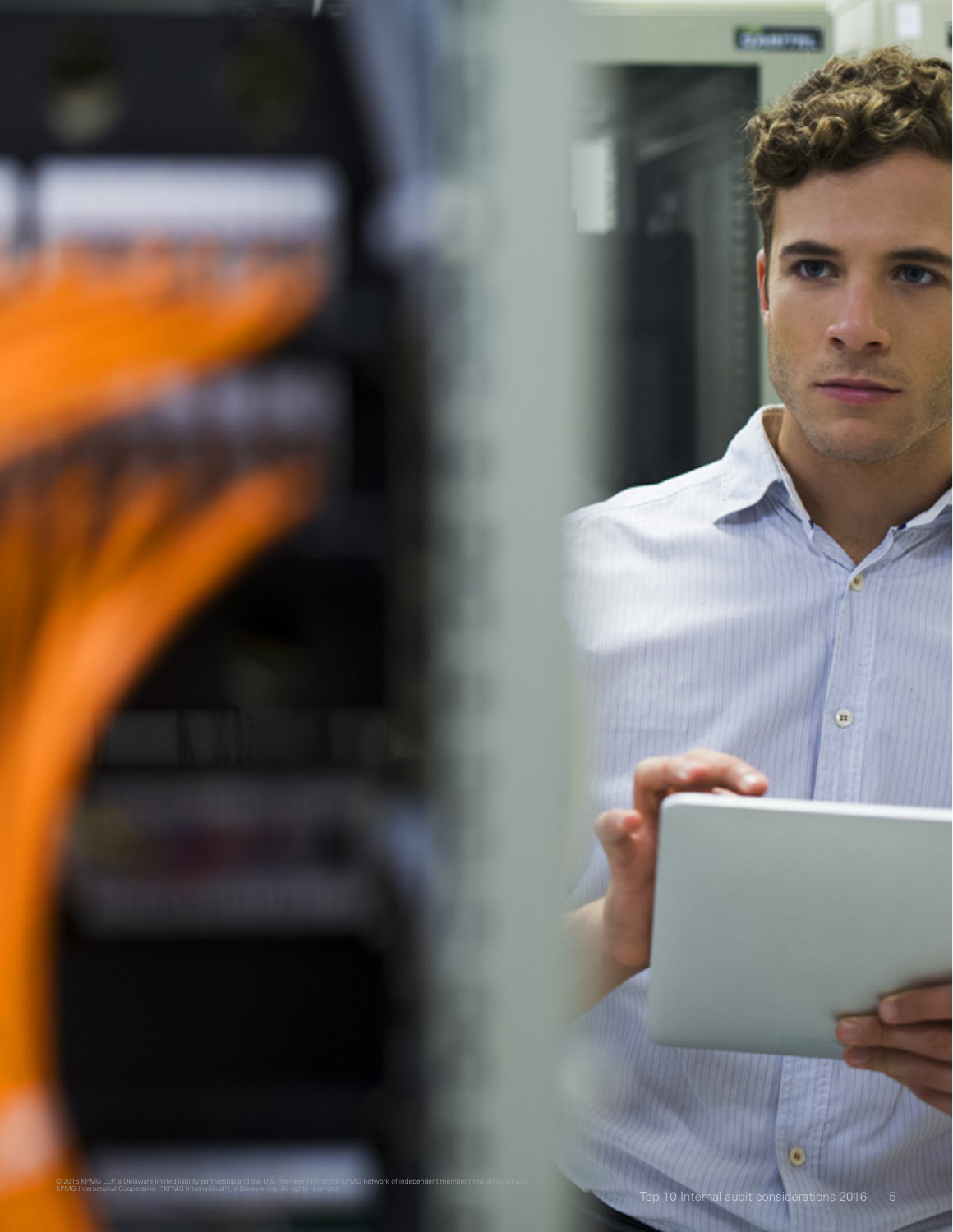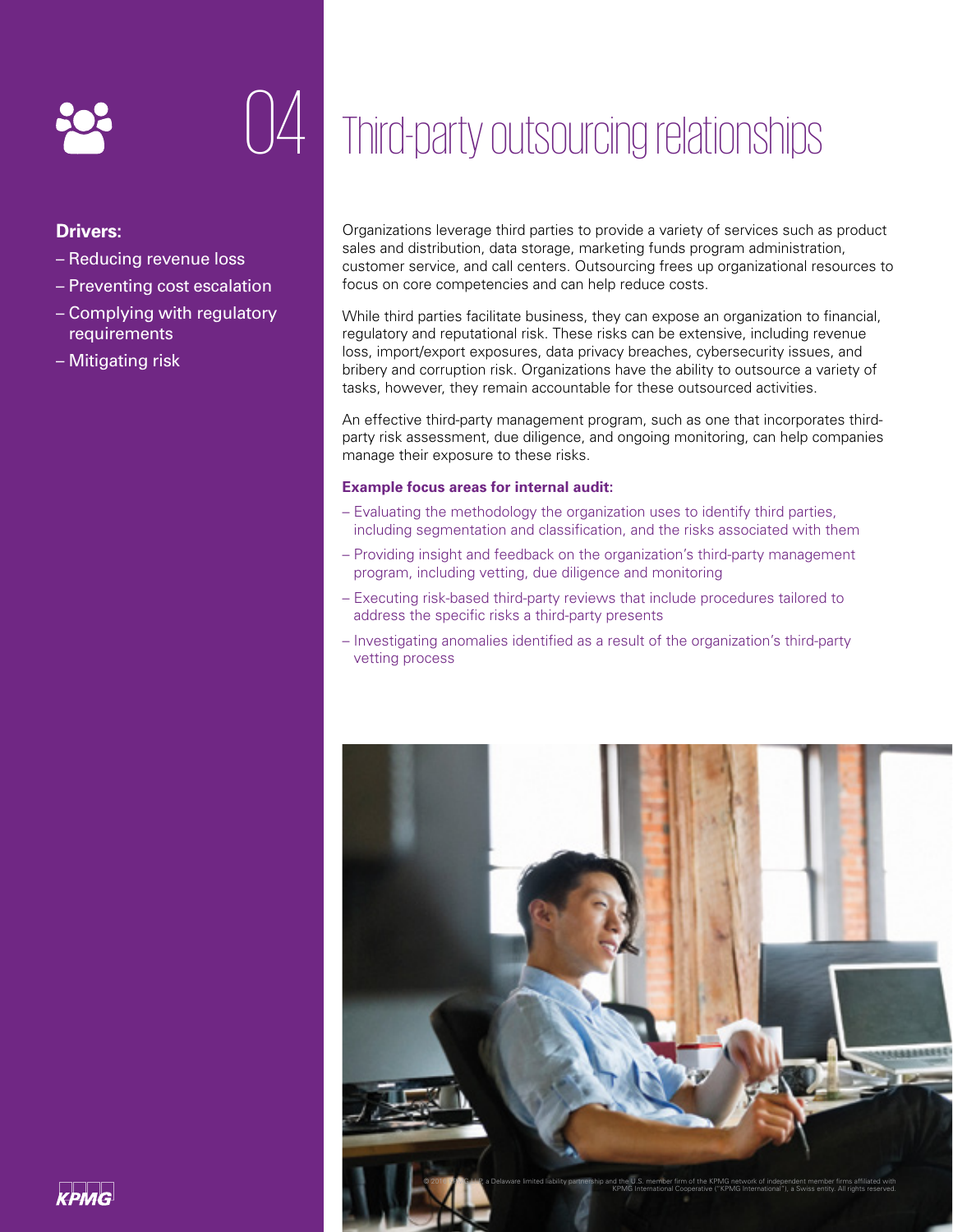

## $\left( \frac{1}{2} \right)$

### **Drivers:**

- Reducing revenue loss
- Preventing cost escalation
- Complying with regulatory requirements
- Mitigating risk

## Third-party outsourcing relationships

Organizations leverage third parties to provide a variety of services such as product sales and distribution, data storage, marketing funds program administration, customer service, and call centers. Outsourcing frees up organizational resources to focus on core competencies and can help reduce costs.

While third parties facilitate business, they can expose an organization to financial, regulatory and reputational risk. These risks can be extensive, including revenue loss, import/export exposures, data privacy breaches, cybersecurity issues, and bribery and corruption risk. Organizations have the ability to outsource a variety of tasks, however, they remain accountable for these outsourced activities.

An effective third-party management program, such as one that incorporates thirdparty risk assessment, due diligence, and ongoing monitoring, can help companies manage their exposure to these risks.

- Evaluating the methodology the organization uses to identify third parties, including segmentation and classification, and the risks associated with them
- Providing insight and feedback on the organization's third-party management program, including vetting, due diligence and monitoring
- Executing risk-based third-party reviews that include procedures tailored to address the specific risks a third-party presents
- Investigating anomalies identified as a result of the organization's third-party vetting process



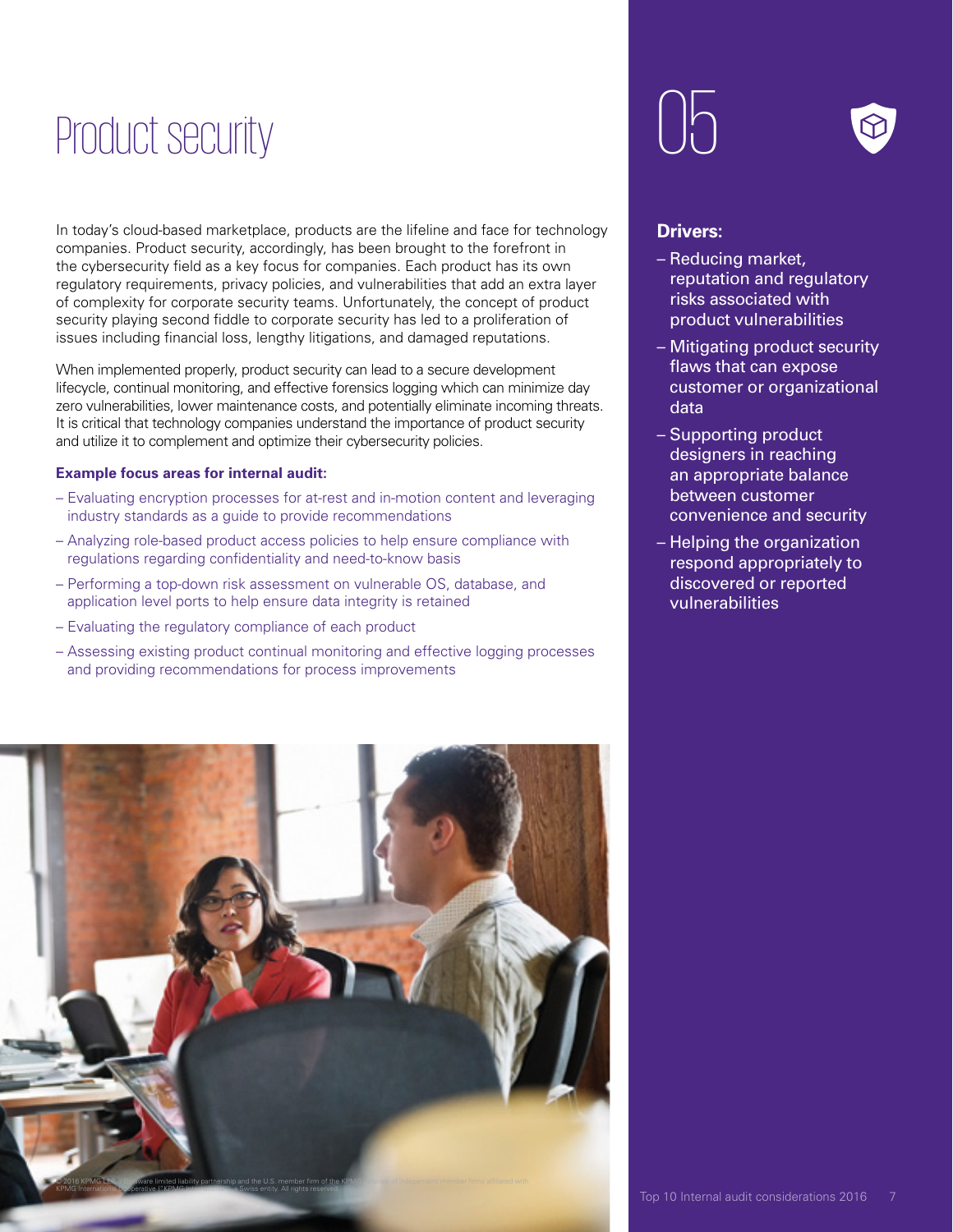## Product security

In today's cloud-based marketplace, products are the lifeline and face for technology companies. Product security, accordingly, has been brought to the forefront in the cybersecurity field as a key focus for companies. Each product has its own regulatory requirements, privacy policies, and vulnerabilities that add an extra layer of complexity for corporate security teams. Unfortunately, the concept of product security playing second fiddle to corporate security has led to a proliferation of issues including financial loss, lengthy litigations, and damaged reputations.

When implemented properly, product security can lead to a secure development lifecycle, continual monitoring, and effective forensics logging which can minimize day zero vulnerabilities, lower maintenance costs, and potentially eliminate incoming threats. It is critical that technology companies understand the importance of product security and utilize it to complement and optimize their cybersecurity policies.

### **Example focus areas for internal audit:**

- Evaluating encryption processes for at-rest and in-motion content and leveraging industry standards as a guide to provide recommendations
- Analyzing role-based product access policies to help ensure compliance with regulations regarding confidentiality and need-to-know basis
- Performing a top-down risk assessment on vulnerable OS, database, and application level ports to help ensure data integrity is retained
- Evaluating the regulatory compliance of each product
- Assessing existing product continual monitoring and effective logging processes and providing recommendations for process improvements

## 05



- Reducing market, reputation and regulatory risks associated with product vulnerabilities
- Mitigating product security flaws that can expose customer or organizational data
- Supporting product designers in reaching an appropriate balance between customer convenience and security
- Helping the organization respond appropriately to discovered or reported vulnerabilities

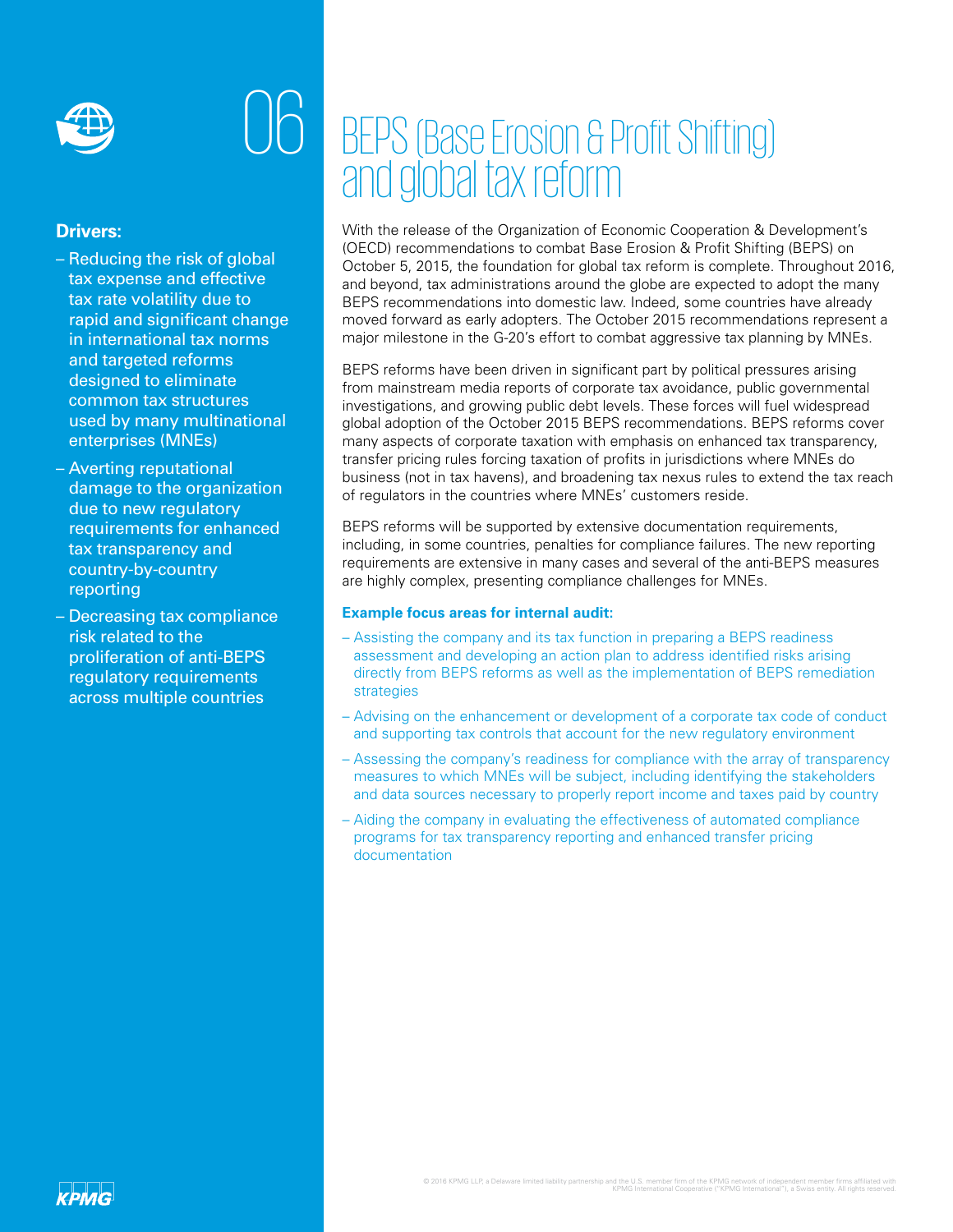

– Reducing the risk of global tax expense and effective tax rate volatility due to rapid and significant change in international tax norms and targeted reforms designed to eliminate common tax structures used by many multinational enterprises (MNEs)

06

- Averting reputational damage to the organization due to new regulatory requirements for enhanced tax transparency and country-by-country reporting
- Decreasing tax compliance risk related to the proliferation of anti-BEPS regulatory requirements across multiple countries

### BEPS (Base Erosion & Profit Shifting) and global tax reform

With the release of the Organization of Economic Cooperation & Development's (OECD) recommendations to combat Base Erosion & Profit Shifting (BEPS) on October 5, 2015, the foundation for global tax reform is complete. Throughout 2016, and beyond, tax administrations around the globe are expected to adopt the many BEPS recommendations into domestic law. Indeed, some countries have already moved forward as early adopters. The October 2015 recommendations represent a major milestone in the G-20's effort to combat aggressive tax planning by MNEs.

BEPS reforms have been driven in significant part by political pressures arising from mainstream media reports of corporate tax avoidance, public governmental investigations, and growing public debt levels. These forces will fuel widespread global adoption of the October 2015 BEPS recommendations. BEPS reforms cover many aspects of corporate taxation with emphasis on enhanced tax transparency, transfer pricing rules forcing taxation of profits in jurisdictions where MNEs do business (not in tax havens), and broadening tax nexus rules to extend the tax reach of regulators in the countries where MNEs' customers reside.

BEPS reforms will be supported by extensive documentation requirements, including, in some countries, penalties for compliance failures. The new reporting requirements are extensive in many cases and several of the anti-BEPS measures are highly complex, presenting compliance challenges for MNEs.

### **Example focus areas for internal audit:**

- Assisting the company and its tax function in preparing a BEPS readiness assessment and developing an action plan to address identified risks arising directly from BEPS reforms as well as the implementation of BEPS remediation strategies
- Advising on the enhancement or development of a corporate tax code of conduct and supporting tax controls that account for the new regulatory environment
- Assessing the company's readiness for compliance with the array of transparency measures to which MNEs will be subject, including identifying the stakeholders and data sources necessary to properly report income and taxes paid by country
- Aiding the company in evaluating the effectiveness of automated compliance programs for tax transparency reporting and enhanced transfer pricing documentation

**KPMG**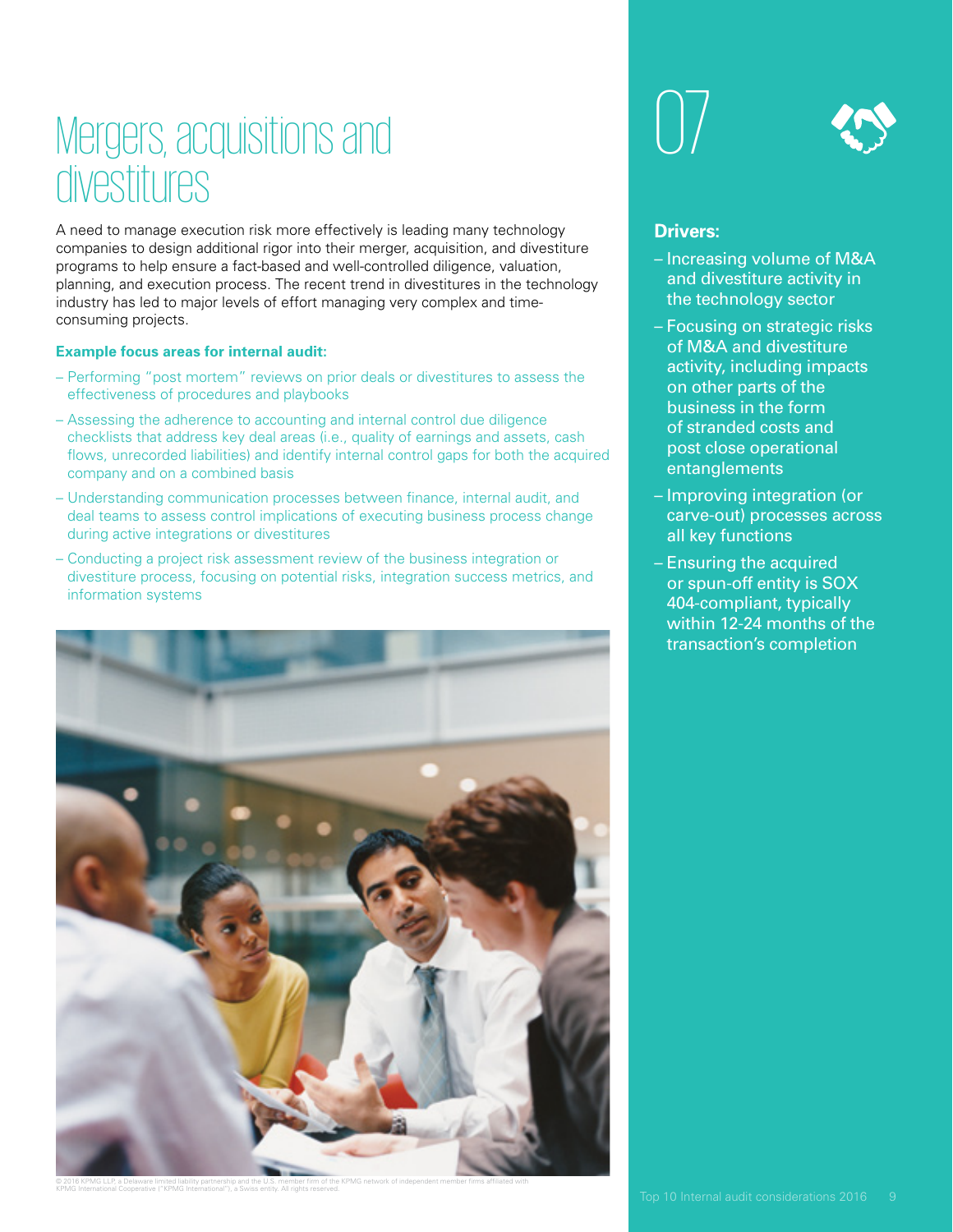## Mergers, acquisitions and divestitures

A need to manage execution risk more effectively is leading many technology companies to design additional rigor into their merger, acquisition, and divestiture programs to help ensure a fact-based and well-controlled diligence, valuation, planning, and execution process. The recent trend in divestitures in the technology industry has led to major levels of effort managing very complex and timeconsuming projects.

### **Example focus areas for internal audit:**

- Performing "post mortem" reviews on prior deals or divestitures to assess the effectiveness of procedures and playbooks
- Assessing the adherence to accounting and internal control due diligence checklists that address key deal areas (i.e., quality of earnings and assets, cash flows, unrecorded liabilities) and identify internal control gaps for both the acquired company and on a combined basis
- Understanding communication processes between finance, internal audit, and deal teams to assess control implications of executing business process change during active integrations or divestitures
- Conducting a project risk assessment review of the business integration or divestiture process, focusing on potential risks, integration success metrics, and information systems



© 2016 KPMG LLP, a Delaware limited liability partnership and the U.S. member firm of the KPMG network of independent member firms affiliated with KPMG International Cooperative ("KPMG International"), a Swiss entity. All rights reserved.

# 07



- Increasing volume of M&A and divestiture activity in the technology sector
- Focusing on strategic risks of M&A and divestiture activity, including impacts on other parts of the business in the form of stranded costs and post close operational entanglements
- Improving integration (or carve-out) processes across all key functions
- Ensuring the acquired or spun-off entity is SOX 404-compliant, typically within 12-24 months of the transaction's completion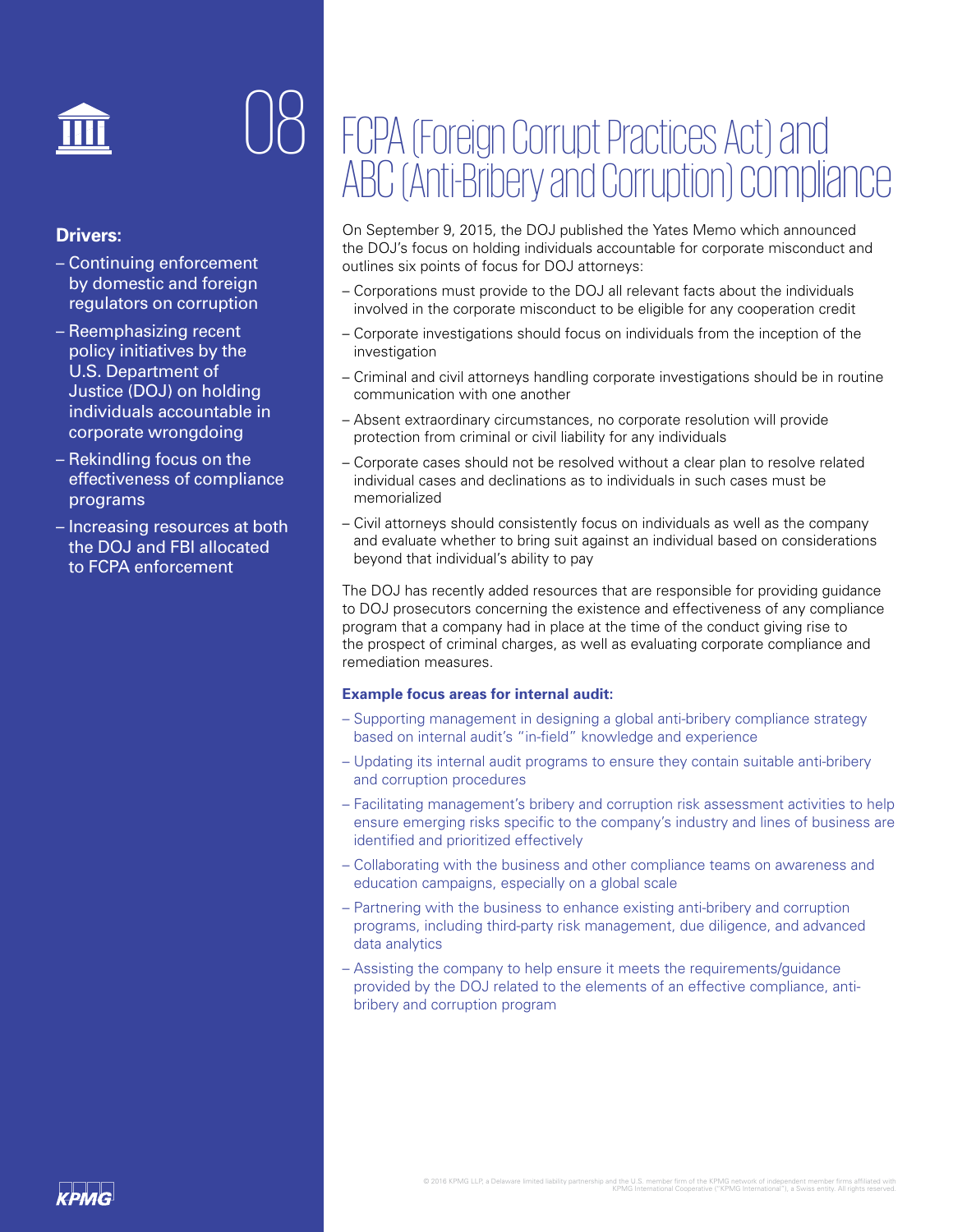

– Continuing enforcement by domestic and foreign regulators on corruption

08

- Reemphasizing recent policy initiatives by the U.S. Department of Justice (DOJ) on holding individuals accountable in corporate wrongdoing
- Rekindling focus on the effectiveness of compliance programs
- Increasing resources at both the DOJ and FBI allocated to FCPA enforcement

### FCPA (Foreign Corrupt Practices Act) and ABC (Anti-Bribery and Corruption) compliance

On September 9, 2015, the DOJ published the Yates Memo which announced the DOJ's focus on holding individuals accountable for corporate misconduct and outlines six points of focus for DOJ attorneys:

- Corporations must provide to the DOJ all relevant facts about the individuals involved in the corporate misconduct to be eligible for any cooperation credit
- Corporate investigations should focus on individuals from the inception of the investigation
- Criminal and civil attorneys handling corporate investigations should be in routine communication with one another
- Absent extraordinary circumstances, no corporate resolution will provide protection from criminal or civil liability for any individuals
- Corporate cases should not be resolved without a clear plan to resolve related individual cases and declinations as to individuals in such cases must be memorialized
- Civil attorneys should consistently focus on individuals as well as the company and evaluate whether to bring suit against an individual based on considerations beyond that individual's ability to pay

The DOJ has recently added resources that are responsible for providing guidance to DOJ prosecutors concerning the existence and effectiveness of any compliance program that a company had in place at the time of the conduct giving rise to the prospect of criminal charges, as well as evaluating corporate compliance and remediation measures.

- Supporting management in designing a global anti-bribery compliance strategy based on internal audit's "in-field" knowledge and experience
- Updating its internal audit programs to ensure they contain suitable anti-bribery and corruption procedures
- Facilitating management's bribery and corruption risk assessment activities to help ensure emerging risks specific to the company's industry and lines of business are identified and prioritized effectively
- Collaborating with the business and other compliance teams on awareness and education campaigns, especially on a global scale
- Partnering with the business to enhance existing anti-bribery and corruption programs, including third-party risk management, due diligence, and advanced data analytics
- Assisting the company to help ensure it meets the requirements/guidance provided by the DOJ related to the elements of an effective compliance, antibribery and corruption program

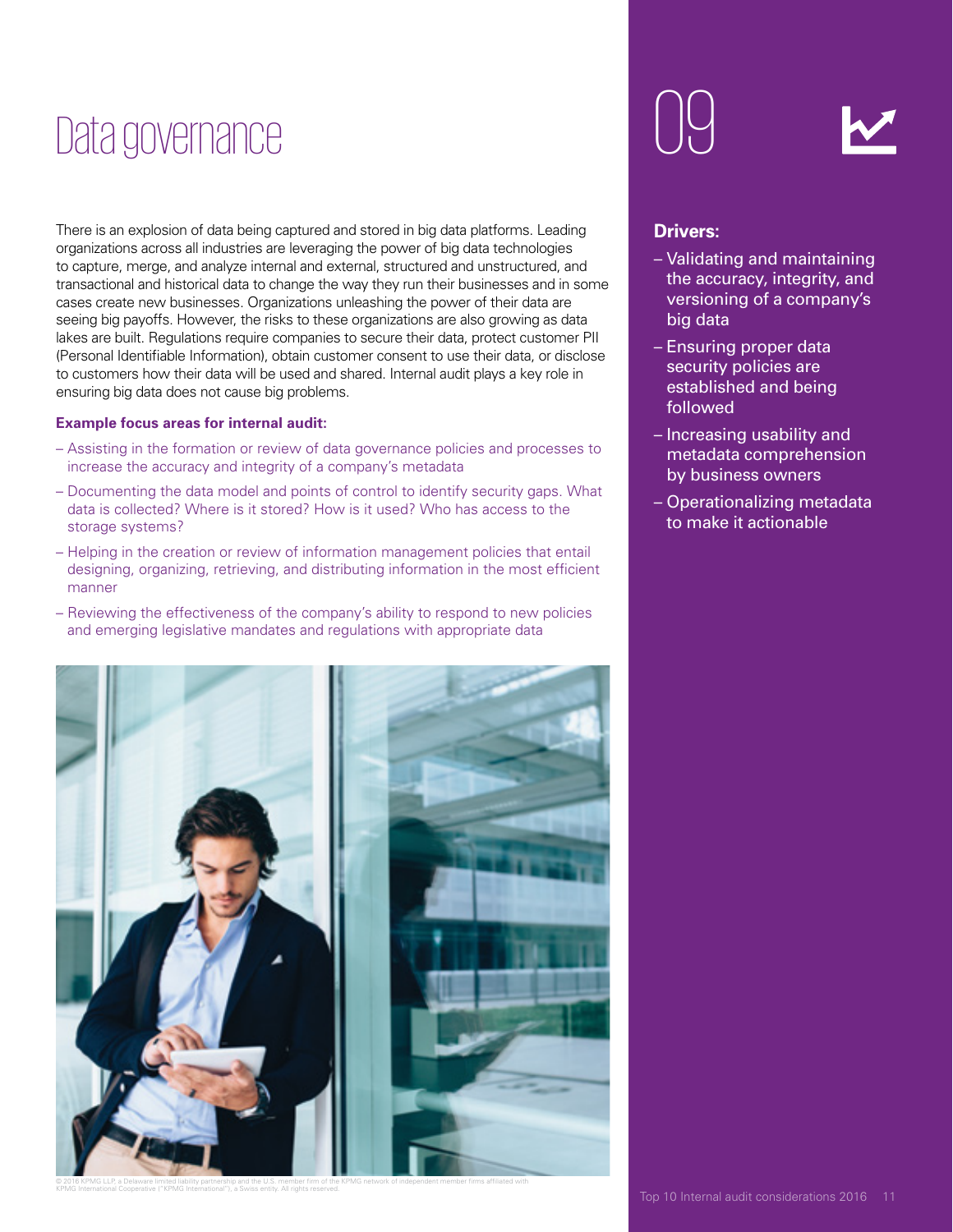## Data governance

There is an explosion of data being captured and stored in big data platforms. Leading organizations across all industries are leveraging the power of big data technologies to capture, merge, and analyze internal and external, structured and unstructured, and transactional and historical data to change the way they run their businesses and in some cases create new businesses. Organizations unleashing the power of their data are seeing big payoffs. However, the risks to these organizations are also growing as data lakes are built. Regulations require companies to secure their data, protect customer PII (Personal Identifiable Information), obtain customer consent to use their data, or disclose to customers how their data will be used and shared. Internal audit plays a key role in ensuring big data does not cause big problems.

### **Example focus areas for internal audit:**

- Assisting in the formation or review of data governance policies and processes to increase the accuracy and integrity of a company's metadata
- Documenting the data model and points of control to identify security gaps. What data is collected? Where is it stored? How is it used? Who has access to the storage systems?
- Helping in the creation or review of information management policies that entail designing, organizing, retrieving, and distributing information in the most efficient manner
- Reviewing the effectiveness of the company's ability to respond to new policies and emerging legislative mandates and regulations with appropriate data



© 2016 KPMG LLP, a Delaware limited liability partnership and the U.S. member firm of the KPMG network of independent member firms affiliated with KPMG International Cooperative ("KPMG International"), a Swiss entity. All rights reserved.

# 09



- Validating and maintaining the accuracy, integrity, and versioning of a company's big data
- Ensuring proper data security policies are established and being followed
- Increasing usability and metadata comprehension by business owners
- Operationalizing metadata to make it actionable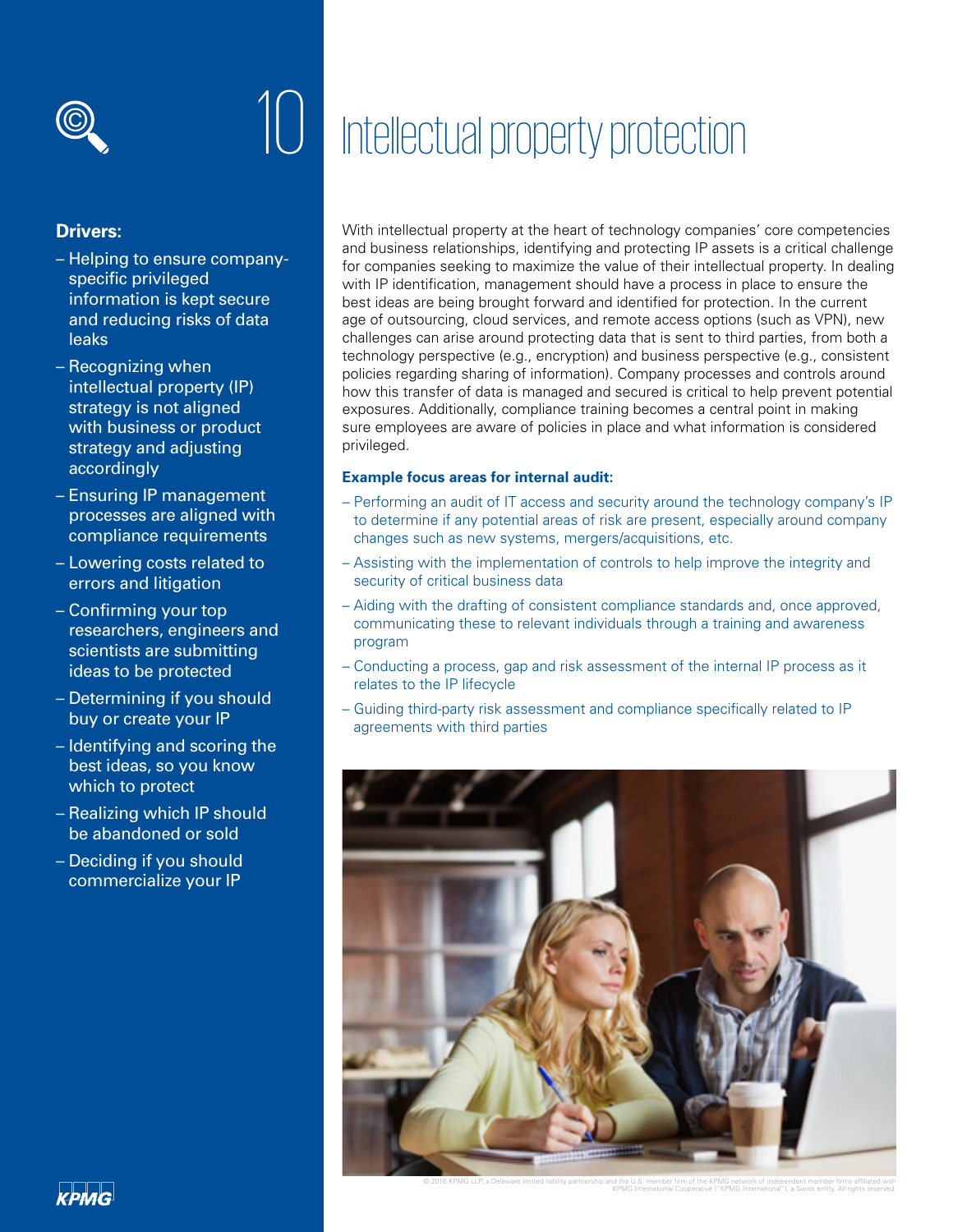

- Helping to ensure companyspecific privileged information is kept secure and reducing risks of data leaks
- Recognizing when intellectual property (IP) strategy is not aligned with business or product strategy and adjusting accordingly
- Ensuring IP management processes are aligned with compliance requirements
- Lowering costs related to errors and litigation
- Confirming your top researchers, engineers and scientists are submitting ideas to be protected
- Determining if you should buy or create your IP
- Identifying and scoring the best ideas, so you know which to protect
- Realizing which IP should be abandoned or sold
- Deciding if you should commercialize your IP

## Intellectual property protection 10

With intellectual property at the heart of technology companies' core competencies and business relationships, identifying and protecting IP assets is a critical challenge for companies seeking to maximize the value of their intellectual property. In dealing with IP identification, management should have a process in place to ensure the best ideas are being brought forward and identified for protection. In the current age of outsourcing, cloud services, and remote access options (such as VPN), new challenges can arise around protecting data that is sent to third parties, from both a technology perspective (e.g., encryption) and business perspective (e.g., consistent policies regarding sharing of information). Company processes and controls around how this transfer of data is managed and secured is critical to help prevent potential exposures. Additionally, compliance training becomes a central point in making sure employees are aware of policies in place and what information is considered privileged.

### **Example focus areas for internal audit:**

- Performing an audit of IT access and security around the technology company's IP to determine if any potential areas of risk are present, especially around company changes such as new systems, mergers/acquisitions, etc.
- Assisting with the implementation of controls to help improve the integrity and security of critical business data
- Aiding with the drafting of consistent compliance standards and, once approved, communicating these to relevant individuals through a training and awareness program
- Conducting a process, gap and risk assessment of the internal IP process as it relates to the IP lifecycle
- Guiding third-party risk assessment and compliance specifically related to IP agreements with third parties



© 2016 KPMG LLP, a Delaware limited liability partnership and the U.S. member firm of the KPMG network of independent member firms affiliated with KPMG International Cooperative ("KPMG International"), a Swiss entity. All rights reserved.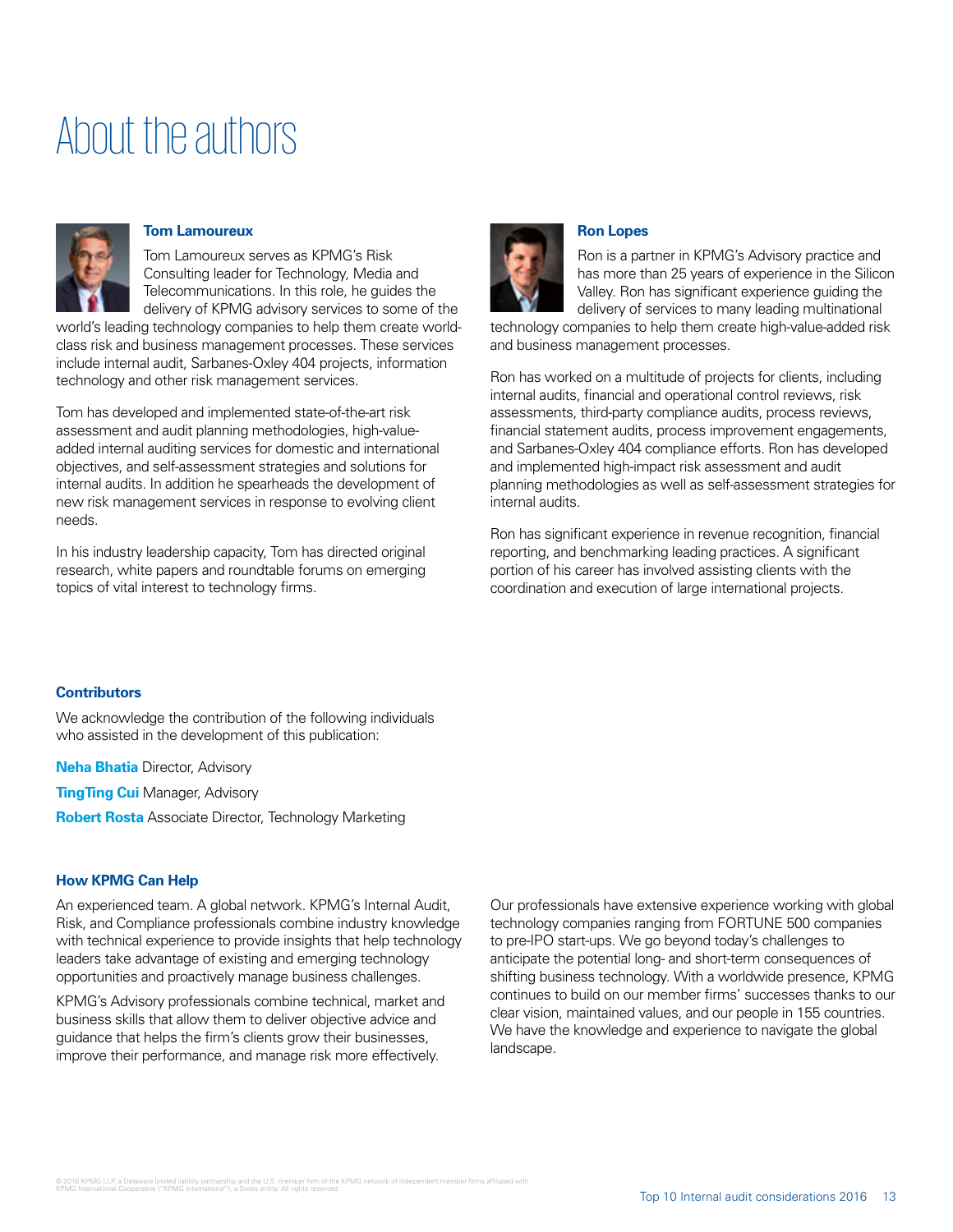## About the authors



#### **Tom Lamoureux**

Tom Lamoureux serves as KPMG's Risk Consulting leader for Technology, Media and Telecommunications. In this role, he guides the delivery of KPMG advisory services to some of the

world's leading technology companies to help them create worldclass risk and business management processes. These services include internal audit, Sarbanes-Oxley 404 projects, information technology and other risk management services.

Tom has developed and implemented state-of-the-art risk assessment and audit planning methodologies, high-valueadded internal auditing services for domestic and international objectives, and self-assessment strategies and solutions for internal audits. In addition he spearheads the development of new risk management services in response to evolving client needs.

In his industry leadership capacity, Tom has directed original research, white papers and roundtable forums on emerging topics of vital interest to technology firms.



#### **Ron Lopes**

Ron is a partner in KPMG's Advisory practice and has more than 25 years of experience in the Silicon Valley. Ron has significant experience guiding the delivery of services to many leading multinational

technology companies to help them create high-value-added risk and business management processes.

Ron has worked on a multitude of projects for clients, including internal audits, financial and operational control reviews, risk assessments, third-party compliance audits, process reviews, financial statement audits, process improvement engagements, and Sarbanes-Oxley 404 compliance efforts. Ron has developed and implemented high-impact risk assessment and audit planning methodologies as well as self-assessment strategies for internal audits.

Ron has significant experience in revenue recognition, financial reporting, and benchmarking leading practices. A significant portion of his career has involved assisting clients with the coordination and execution of large international projects.

### **Contributors**

We acknowledge the contribution of the following individuals who assisted in the development of this publication:

**Neha Bhatia** Director, Advisory

**TingTing Cui Manager, Advisory** 

**Robert Rosta** Associate Director, Technology Marketing

### **How KPMG Can Help**

An experienced team. A global network. KPMG's Internal Audit, Risk, and Compliance professionals combine industry knowledge with technical experience to provide insights that help technology leaders take advantage of existing and emerging technology opportunities and proactively manage business challenges.

KPMG's Advisory professionals combine technical, market and business skills that allow them to deliver objective advice and guidance that helps the firm's clients grow their businesses, improve their performance, and manage risk more effectively.

Our professionals have extensive experience working with global technology companies ranging from FORTUNE 500 companies to pre-IPO start-ups. We go beyond today's challenges to anticipate the potential long- and short-term consequences of shifting business technology. With a worldwide presence, KPMG continues to build on our member firms' successes thanks to our clear vision, maintained values, and our people in 155 countries. We have the knowledge and experience to navigate the global landscape.